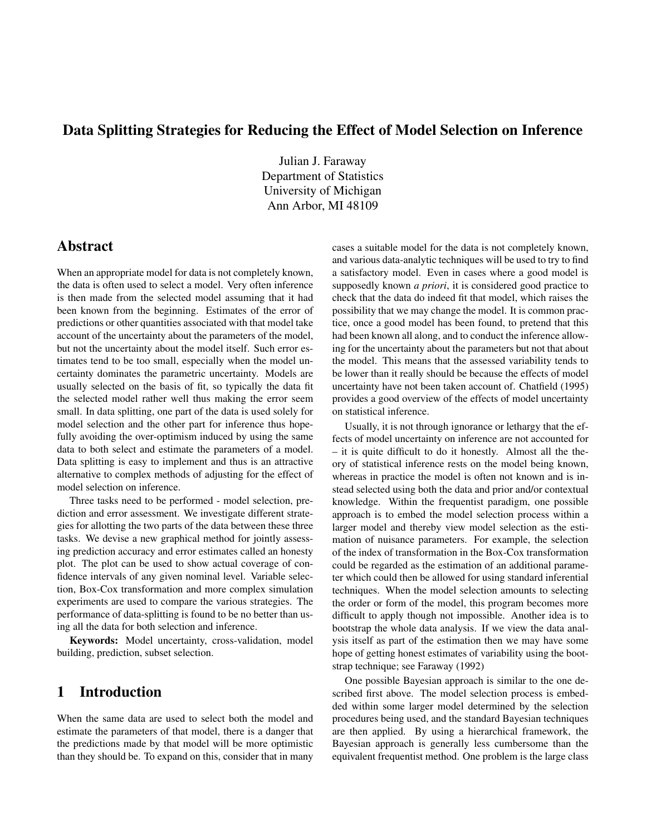## Data Splitting Strategies for Reducing the Effect of Model Selection on Inference

Julian J. Faraway Department of Statistics University of Michigan Ann Arbor, MI 48109

### Abstract

When an appropriate model for data is not completely known, the data is often used to select a model. Very often inference is then made from the selected model assuming that it had been known from the beginning. Estimates of the error of predictions or other quantities associated with that model take account of the uncertainty about the parameters of the model, but not the uncertainty about the model itself. Such error estimates tend to be too small, especially when the model uncertainty dominates the parametric uncertainty. Models are usually selected on the basis of fit, so typically the data fit the selected model rather well thus making the error seem small. In data splitting, one part of the data is used solely for model selection and the other part for inference thus hopefully avoiding the over-optimism induced by using the same data to both select and estimate the parameters of a model. Data splitting is easy to implement and thus is an attractive alternative to complex methods of adjusting for the effect of model selection on inference.

Three tasks need to be performed - model selection, prediction and error assessment. We investigate different strategies for allotting the two parts of the data between these three tasks. We devise a new graphical method for jointly assessing prediction accuracy and error estimates called an honesty plot. The plot can be used to show actual coverage of confidence intervals of any given nominal level. Variable selection, Box-Cox transformation and more complex simulation experiments are used to compare the various strategies. The performance of data-splitting is found to be no better than using all the data for both selection and inference.

Keywords: Model uncertainty, cross-validation, model building, prediction, subset selection.

## 1 Introduction

When the same data are used to select both the model and estimate the parameters of that model, there is a danger that the predictions made by that model will be more optimistic than they should be. To expand on this, consider that in many cases a suitable model for the data is not completely known, and various data-analytic techniques will be used to try to find a satisfactory model. Even in cases where a good model is supposedly known *a priori*, it is considered good practice to check that the data do indeed fit that model, which raises the possibility that we may change the model. It is common practice, once a good model has been found, to pretend that this had been known all along, and to conduct the inference allowing for the uncertainty about the parameters but not that about the model. This means that the assessed variability tends to be lower than it really should be because the effects of model uncertainty have not been taken account of. Chatfield (1995) provides a good overview of the effects of model uncertainty on statistical inference.

Usually, it is not through ignorance or lethargy that the effects of model uncertainty on inference are not accounted for – it is quite difficult to do it honestly. Almost all the theory of statistical inference rests on the model being known, whereas in practice the model is often not known and is instead selected using both the data and prior and/or contextual knowledge. Within the frequentist paradigm, one possible approach is to embed the model selection process within a larger model and thereby view model selection as the estimation of nuisance parameters. For example, the selection of the index of transformation in the Box-Cox transformation could be regarded as the estimation of an additional parameter which could then be allowed for using standard inferential techniques. When the model selection amounts to selecting the order or form of the model, this program becomes more difficult to apply though not impossible. Another idea is to bootstrap the whole data analysis. If we view the data analysis itself as part of the estimation then we may have some hope of getting honest estimates of variability using the bootstrap technique; see Faraway (1992)

One possible Bayesian approach is similar to the one described first above. The model selection process is embedded within some larger model determined by the selection procedures being used, and the standard Bayesian techniques are then applied. By using a hierarchical framework, the Bayesian approach is generally less cumbersome than the equivalent frequentist method. One problem is the large class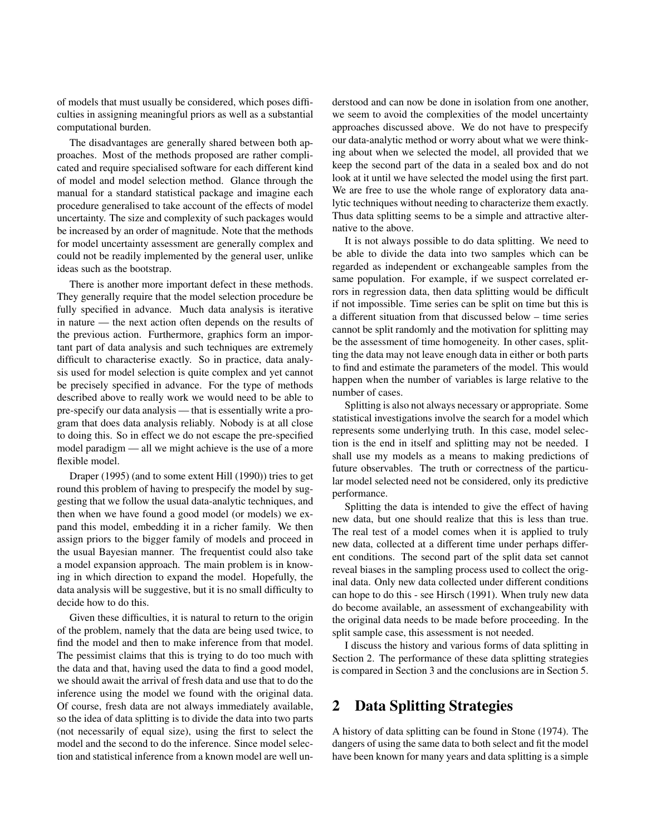of models that must usually be considered, which poses difficulties in assigning meaningful priors as well as a substantial computational burden.

The disadvantages are generally shared between both approaches. Most of the methods proposed are rather complicated and require specialised software for each different kind of model and model selection method. Glance through the manual for a standard statistical package and imagine each procedure generalised to take account of the effects of model uncertainty. The size and complexity of such packages would be increased by an order of magnitude. Note that the methods for model uncertainty assessment are generally complex and could not be readily implemented by the general user, unlike ideas such as the bootstrap.

There is another more important defect in these methods. They generally require that the model selection procedure be fully specified in advance. Much data analysis is iterative in nature — the next action often depends on the results of the previous action. Furthermore, graphics form an important part of data analysis and such techniques are extremely difficult to characterise exactly. So in practice, data analysis used for model selection is quite complex and yet cannot be precisely specified in advance. For the type of methods described above to really work we would need to be able to pre-specify our data analysis — that is essentially write a program that does data analysis reliably. Nobody is at all close to doing this. So in effect we do not escape the pre-specified model paradigm — all we might achieve is the use of a more flexible model.

Draper (1995) (and to some extent Hill (1990)) tries to get round this problem of having to prespecify the model by suggesting that we follow the usual data-analytic techniques, and then when we have found a good model (or models) we expand this model, embedding it in a richer family. We then assign priors to the bigger family of models and proceed in the usual Bayesian manner. The frequentist could also take a model expansion approach. The main problem is in knowing in which direction to expand the model. Hopefully, the data analysis will be suggestive, but it is no small difficulty to decide how to do this.

Given these difficulties, it is natural to return to the origin of the problem, namely that the data are being used twice, to find the model and then to make inference from that model. The pessimist claims that this is trying to do too much with the data and that, having used the data to find a good model, we should await the arrival of fresh data and use that to do the inference using the model we found with the original data. Of course, fresh data are not always immediately available, so the idea of data splitting is to divide the data into two parts (not necessarily of equal size), using the first to select the model and the second to do the inference. Since model selection and statistical inference from a known model are well understood and can now be done in isolation from one another, we seem to avoid the complexities of the model uncertainty approaches discussed above. We do not have to prespecify our data-analytic method or worry about what we were thinking about when we selected the model, all provided that we keep the second part of the data in a sealed box and do not look at it until we have selected the model using the first part. We are free to use the whole range of exploratory data analytic techniques without needing to characterize them exactly. Thus data splitting seems to be a simple and attractive alternative to the above.

It is not always possible to do data splitting. We need to be able to divide the data into two samples which can be regarded as independent or exchangeable samples from the same population. For example, if we suspect correlated errors in regression data, then data splitting would be difficult if not impossible. Time series can be split on time but this is a different situation from that discussed below – time series cannot be split randomly and the motivation for splitting may be the assessment of time homogeneity. In other cases, splitting the data may not leave enough data in either or both parts to find and estimate the parameters of the model. This would happen when the number of variables is large relative to the number of cases.

Splitting is also not always necessary or appropriate. Some statistical investigations involve the search for a model which represents some underlying truth. In this case, model selection is the end in itself and splitting may not be needed. I shall use my models as a means to making predictions of future observables. The truth or correctness of the particular model selected need not be considered, only its predictive performance.

Splitting the data is intended to give the effect of having new data, but one should realize that this is less than true. The real test of a model comes when it is applied to truly new data, collected at a different time under perhaps different conditions. The second part of the split data set cannot reveal biases in the sampling process used to collect the original data. Only new data collected under different conditions can hope to do this - see Hirsch (1991). When truly new data do become available, an assessment of exchangeability with the original data needs to be made before proceeding. In the split sample case, this assessment is not needed.

I discuss the history and various forms of data splitting in Section 2. The performance of these data splitting strategies is compared in Section 3 and the conclusions are in Section 5.

## 2 Data Splitting Strategies

A history of data splitting can be found in Stone (1974). The dangers of using the same data to both select and fit the model have been known for many years and data splitting is a simple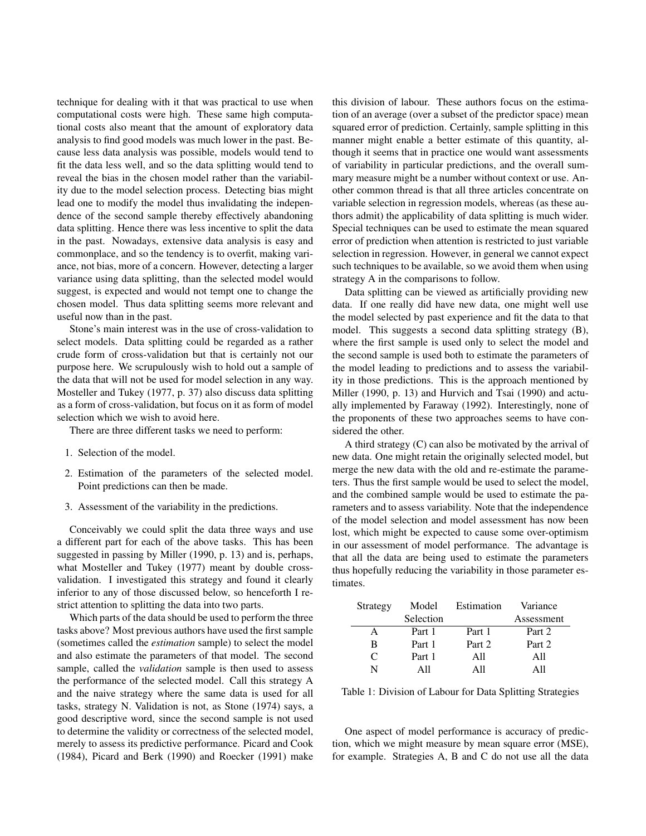technique for dealing with it that was practical to use when computational costs were high. These same high computational costs also meant that the amount of exploratory data analysis to find good models was much lower in the past. Because less data analysis was possible, models would tend to fit the data less well, and so the data splitting would tend to reveal the bias in the chosen model rather than the variability due to the model selection process. Detecting bias might lead one to modify the model thus invalidating the independence of the second sample thereby effectively abandoning data splitting. Hence there was less incentive to split the data in the past. Nowadays, extensive data analysis is easy and commonplace, and so the tendency is to overfit, making variance, not bias, more of a concern. However, detecting a larger variance using data splitting, than the selected model would suggest, is expected and would not tempt one to change the chosen model. Thus data splitting seems more relevant and useful now than in the past.

Stone's main interest was in the use of cross-validation to select models. Data splitting could be regarded as a rather crude form of cross-validation but that is certainly not our purpose here. We scrupulously wish to hold out a sample of the data that will not be used for model selection in any way. Mosteller and Tukey (1977, p. 37) also discuss data splitting as a form of cross-validation, but focus on it as form of model selection which we wish to avoid here.

There are three different tasks we need to perform:

- 1. Selection of the model.
- 2. Estimation of the parameters of the selected model. Point predictions can then be made.
- 3. Assessment of the variability in the predictions.

Conceivably we could split the data three ways and use a different part for each of the above tasks. This has been suggested in passing by Miller (1990, p. 13) and is, perhaps, what Mosteller and Tukey (1977) meant by double crossvalidation. I investigated this strategy and found it clearly inferior to any of those discussed below, so henceforth I restrict attention to splitting the data into two parts.

Which parts of the data should be used to perform the three tasks above? Most previous authors have used the first sample (sometimes called the *estimation* sample) to select the model and also estimate the parameters of that model. The second sample, called the *validation* sample is then used to assess the performance of the selected model. Call this strategy A and the naive strategy where the same data is used for all tasks, strategy N. Validation is not, as Stone (1974) says, a good descriptive word, since the second sample is not used to determine the validity or correctness of the selected model, merely to assess its predictive performance. Picard and Cook (1984), Picard and Berk (1990) and Roecker (1991) make this division of labour. These authors focus on the estimation of an average (over a subset of the predictor space) mean squared error of prediction. Certainly, sample splitting in this manner might enable a better estimate of this quantity, although it seems that in practice one would want assessments of variability in particular predictions, and the overall summary measure might be a number without context or use. Another common thread is that all three articles concentrate on variable selection in regression models, whereas (as these authors admit) the applicability of data splitting is much wider. Special techniques can be used to estimate the mean squared error of prediction when attention is restricted to just variable selection in regression. However, in general we cannot expect such techniques to be available, so we avoid them when using strategy A in the comparisons to follow.

Data splitting can be viewed as artificially providing new data. If one really did have new data, one might well use the model selected by past experience and fit the data to that model. This suggests a second data splitting strategy (B), where the first sample is used only to select the model and the second sample is used both to estimate the parameters of the model leading to predictions and to assess the variability in those predictions. This is the approach mentioned by Miller (1990, p. 13) and Hurvich and Tsai (1990) and actually implemented by Faraway (1992). Interestingly, none of the proponents of these two approaches seems to have considered the other.

A third strategy (C) can also be motivated by the arrival of new data. One might retain the originally selected model, but merge the new data with the old and re-estimate the parameters. Thus the first sample would be used to select the model, and the combined sample would be used to estimate the parameters and to assess variability. Note that the independence of the model selection and model assessment has now been lost, which might be expected to cause some over-optimism in our assessment of model performance. The advantage is that all the data are being used to estimate the parameters thus hopefully reducing the variability in those parameter estimates.

| Strategy     | Model     | Estimation | Variance   |
|--------------|-----------|------------|------------|
|              | Selection |            | Assessment |
| $\mathsf{A}$ | Part 1    | Part 1     | Part 2     |
| B            | Part 1    | Part 2     | Part 2     |
| C            | Part 1    | A11        | A11        |
| N            | A 11      | A 11       | A 11       |

Table 1: Division of Labour for Data Splitting Strategies

One aspect of model performance is accuracy of prediction, which we might measure by mean square error (MSE), for example. Strategies A, B and C do not use all the data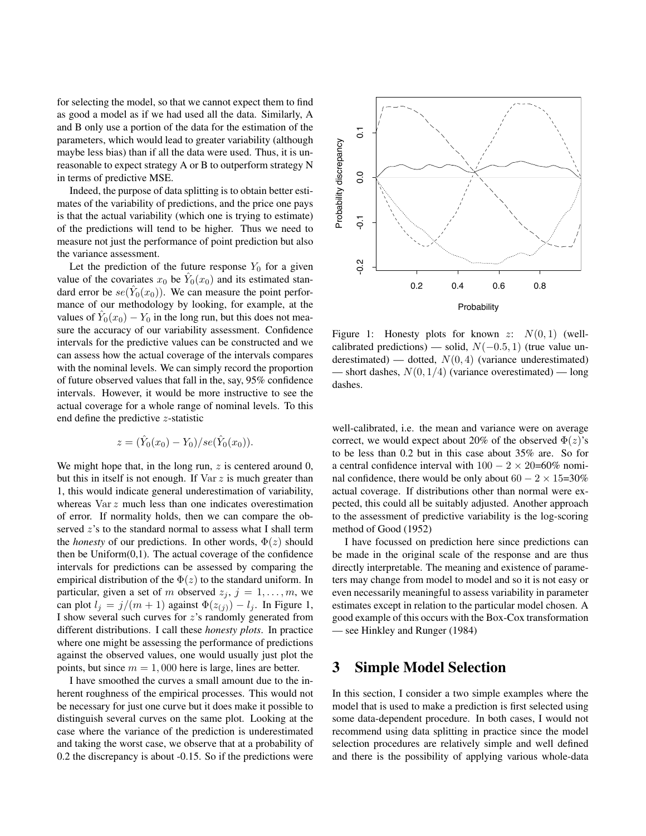for selecting the model, so that we cannot expect them to find as good a model as if we had used all the data. Similarly, A and B only use a portion of the data for the estimation of the parameters, which would lead to greater variability (although maybe less bias) than if all the data were used. Thus, it is unreasonable to expect strategy A or B to outperform strategy N in terms of predictive MSE.

Indeed, the purpose of data splitting is to obtain better estimates of the variability of predictions, and the price one pays is that the actual variability (which one is trying to estimate) of the predictions will tend to be higher. Thus we need to measure not just the performance of point prediction but also the variance assessment.

Let the prediction of the future response  $Y_0$  for a given value of the covariates  $x_0$  be  $\hat{Y}_0(x_0)$  and its estimated standard error be  $se(\hat{Y}_0(x_0))$ . We can measure the point performance of our methodology by looking, for example, at the values of  $\hat{Y}_0(x_0) - Y_0$  in the long run, but this does not measure the accuracy of our variability assessment. Confidence intervals for the predictive values can be constructed and we can assess how the actual coverage of the intervals compares with the nominal levels. We can simply record the proportion of future observed values that fall in the, say, 95% confidence intervals. However, it would be more instructive to see the actual coverage for a whole range of nominal levels. To this end define the predictive z-statistic

$$
z = (\hat{Y}_0(x_0) - Y_0)/se(\hat{Y}_0(x_0)).
$$

We might hope that, in the long run,  $z$  is centered around 0, but this in itself is not enough. If Var z is much greater than 1, this would indicate general underestimation of variability, whereas Var z much less than one indicates overestimation of error. If normality holds, then we can compare the observed z's to the standard normal to assess what I shall term the *honesty* of our predictions. In other words,  $\Phi(z)$  should then be  $Uniform(0,1)$ . The actual coverage of the confidence intervals for predictions can be assessed by comparing the empirical distribution of the  $\Phi(z)$  to the standard uniform. In particular, given a set of m observed  $z_j$ ,  $j = 1, \ldots, m$ , we can plot  $l_j = j/(m + 1)$  against  $\Phi(z_{(j)}) - l_j$ . In Figure 1, I show several such curves for z's randomly generated from different distributions. I call these *honesty plots*. In practice where one might be assessing the performance of predictions against the observed values, one would usually just plot the points, but since  $m = 1,000$  here is large, lines are better.

I have smoothed the curves a small amount due to the inherent roughness of the empirical processes. This would not be necessary for just one curve but it does make it possible to distinguish several curves on the same plot. Looking at the case where the variance of the prediction is underestimated and taking the worst case, we observe that at a probability of 0.2 the discrepancy is about -0.15. So if the predictions were



Figure 1: Honesty plots for known z:  $N(0, 1)$  (wellcalibrated predictions) — solid,  $N(-0.5, 1)$  (true value underestimated) — dotted,  $N(0, 4)$  (variance underestimated) — short dashes,  $N(0, 1/4)$  (variance overestimated) — long dashes.

well-calibrated, i.e. the mean and variance were on average correct, we would expect about 20% of the observed  $\Phi(z)$ 's to be less than 0.2 but in this case about 35% are. So for a central confidence interval with  $100 - 2 \times 20=60\%$  nominal confidence, there would be only about  $60 - 2 \times 15=30\%$ actual coverage. If distributions other than normal were expected, this could all be suitably adjusted. Another approach to the assessment of predictive variability is the log-scoring method of Good (1952)

I have focussed on prediction here since predictions can be made in the original scale of the response and are thus directly interpretable. The meaning and existence of parameters may change from model to model and so it is not easy or even necessarily meaningful to assess variability in parameter estimates except in relation to the particular model chosen. A good example of this occurs with the Box-Cox transformation — see Hinkley and Runger (1984)

### 3 Simple Model Selection

In this section, I consider a two simple examples where the model that is used to make a prediction is first selected using some data-dependent procedure. In both cases, I would not recommend using data splitting in practice since the model selection procedures are relatively simple and well defined and there is the possibility of applying various whole-data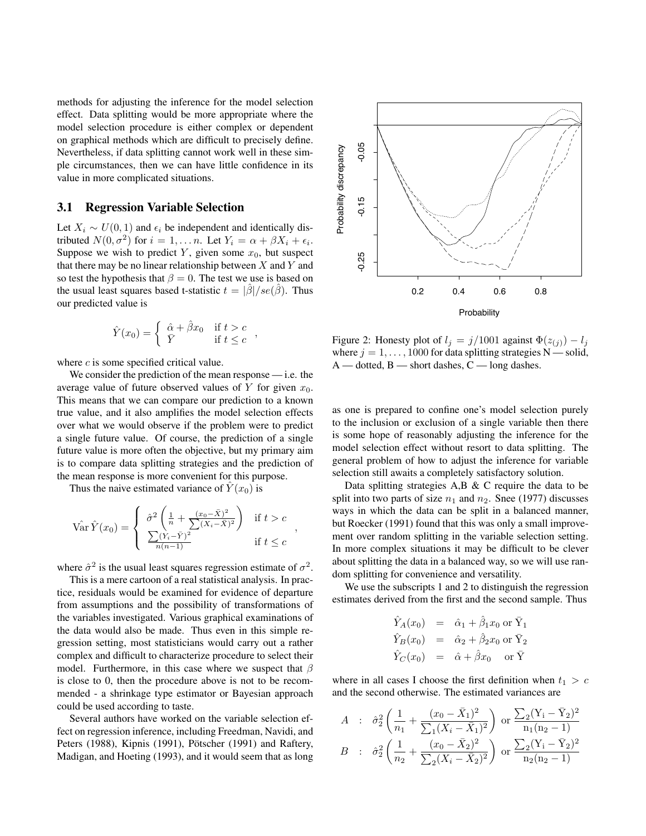methods for adjusting the inference for the model selection methods for adjusting the inference for the model selection<br>effect. Data splitting would be more appropriate where the effect. Data splitting would be more appropriate where the model selection procedure is either complex or dependent model selection procedure is either complex or dependent on graphical methods which are difficult to precisely define. Nevertheless, if data splitting cannot work well in these sim-Nevertheless, if data splitting cannot work well in these simple circumstances, then we can have little confidence in its ple circumstances, then we can have little confidence in its value in more complicated situations. value in more complicated situations. on graphical methods which are difficult to precisely define.

## 3.1 Regression Variable Selection **3.1 Regression Variable Selection**

Let  $X_i \sim U(0, 1)$  and  $\epsilon_i$  be independent and identically distributed  $N(0, \sigma^2)$  for  $i = 1, \ldots n$ . Let  $Y_i = \alpha + \beta X_i + \epsilon_i$ . Suppose we wish to predict  $Y$ , given some  $x_0$ , but suspect that there may be no linear relationship between  $X$  and  $Y$  and so test the hypothesis that  $\beta = 0$ . The test we use is based on the usual least squares based t-statistic  $t = |\hat{\beta}| / se(\hat{\beta})$ . Thus our predicted value is our predicted value is

$$
\hat{Y}(x_0) = \begin{cases} \n\hat{\alpha} + \hat{\beta}x_0 & \text{if } t > c \\ \n\bar{Y} & \text{if } t \leq c \n\end{cases}
$$

where  $c$  is some specified critical value.

We consider the prediction of the mean response — i.e. the We consider the prediction of the mean response — i.e. the average value of future observed values of  $\overline{Y}$  for given  $x_0$ . This means that we can compare our prediction to a known This means that we can compare our prediction to a known true value, and it also amplifies the model selection effects true value, and it also amplifies the model selection effects over what we would observe if the problem were to predict a single future value. Of course, the prediction of a single a single future value. Of course, the prediction of a single future value is more often the objective, but my primary aim future value is more often the objective, but my primary aim is to compare data splitting strategies and the prediction of is to compare data splitting strategies and the prediction of the mean response is more convenient for this purpose. the mean response is more convenient for this purpose.

Thus the naive estimated variance of  $\hat{Y}(x_0)$  is

$$
\hat{\text{Var}}(\hat{Y}(x_0)) = \begin{cases} \hat{\sigma}^2 \left( \frac{1}{n} + \frac{(x_0 - \bar{X})^2}{\sum (X_i - \bar{X})^2} \right) & \text{if } t > c \\ \frac{\sum (Y_i - \bar{Y})^2}{n(n-1)} & \text{if } t \le c \end{cases},
$$

where  $\hat{\sigma}^2$  is the usual least squares regression estimate of  $\sigma^2$ . where is the usual least squares regression estimate of .  $\alpha$  $\sigma^2$  is the usual least squares regression estimate of  $\sigma^2$ .

This is a mere cartoon of a real statistical analysis. In practice, residuals would be examined for evidence of departure from assumptions and the possibility of transformations of the variables investigated. Various graphical examinations of the data would also be made. Thus even in this simple regression setting, most statisticians would carry out a rather complex and difficult to characterize procedure to select their model. Furthermore, in this case where we suspect that  $\beta$ is close to 0, then the procedure above is not to be recommended - a shrinkage type estimator or Bayesian approach could be used according to taste.

Several authors have worked on the variable selection effect on regression inference, including Freedman, Navidi, and Peters (1988), Kipnis (1991), Pötscher (1991) and Raftery, Madigan, and Hoeting (1993), and it would seem that as long



Figure 2: Honesty plot of  $l_j = j/1001$  against  $\Phi(z_{(j)}) - l_j$ where  $j = 1, \ldots, 1000$  for data splitting strategies  $N$ —solid,  $A$  — dotted,  $B$  — short dashes,  $C$  — long dashes.

as one is prepared to confine one's model selection purely as one to prepared to comme one's moder servered parely to the inclusion or exclusion of a single variable then there is some hope of reasonably adjusting the inference for the for the model selection effect without resort to data splitting. model selection effect without resort to data splitting. The The general problem of how to adjust the inference for variable general problem of how to adjust the inference for variable  $\Omega$  such sum awaits a completely satisfactory solution. selection still awaits a completely satisfactory solution.

Data splitting strategies  $A, B \& C$  require the data to be split into two parts of size  $n_1$  and  $n_2$ . Snee (1977) discusses ways in which the data can be split in a balanced manner, but Roecker (1991) found that this was only a small improvement over random splitting in the variable selection setting. In more complex situations it may be difficult to be clever about splitting the data in a balanced way, so we will use random splitting for convenience and versatility.

We use the subscripts 1 and 2 to distinguish the regression estimates derived from the first and the second sample. Thus

$$
\hat{Y}_A(x_0) = \hat{\alpha}_1 + \hat{\beta}_1 x_0 \text{ or } \bar{Y}_1
$$
\n
$$
\hat{Y}_B(x_0) = \hat{\alpha}_2 + \hat{\beta}_2 x_0 \text{ or } \bar{Y}_2
$$
\n
$$
\hat{Y}_C(x_0) = \hat{\alpha} + \hat{\beta} x_0 \text{ or } \bar{Y}
$$

where in all cases I choose the first definition when  $t_1 > c$ and the second otherwise. The estimated variances are

$$
A : \hat{\sigma}_2^2 \left( \frac{1}{n_1} + \frac{(x_0 - \bar{X}_1)^2}{\sum_1 (X_i - \bar{X}_1)^2} \right) \text{ or } \frac{\sum_2 (Y_i - \bar{Y}_2)^2}{n_1 (n_2 - 1)}
$$
  

$$
B : \hat{\sigma}_2^2 \left( \frac{1}{n_2} + \frac{(x_0 - \bar{X}_2)^2}{\sum_2 (X_i - \bar{X}_2)^2} \right) \text{ or } \frac{\sum_2 (Y_i - \bar{Y}_2)^2}{n_2 (n_2 - 1)}
$$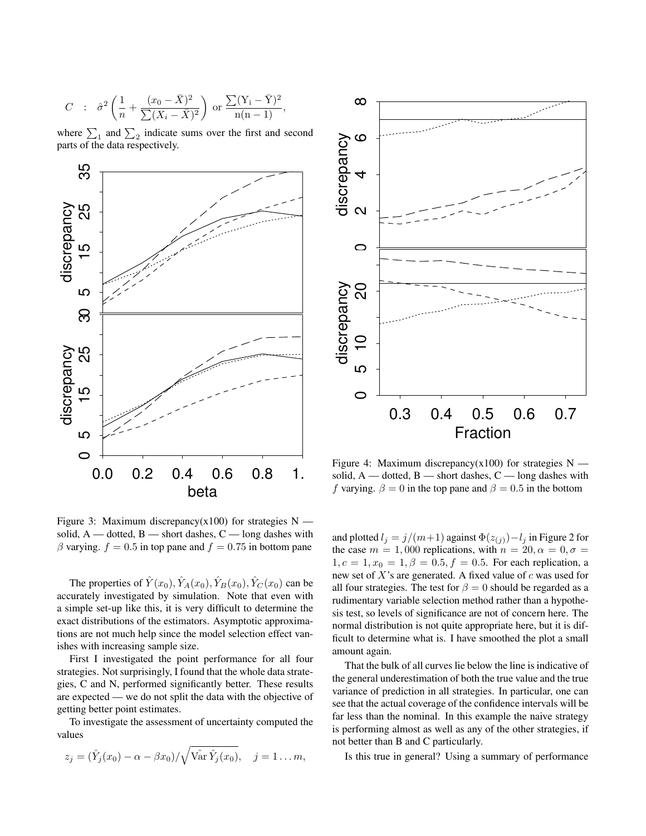$$
C : \hat{\sigma}^2 \left( \frac{1}{n} + \frac{(x_0 - \bar{X})^2}{\sum (X_i - \bar{X})^2} \right) \text{ or } \frac{\sum (Y_i - \bar{Y})^2}{n(n-1)},
$$

where  $\sum_1$  and  $\sum_2$  indicate sums over the first and second parts of the data respectively.



Figure 3: Maximum discrepancy(x100) for strategies  $N$  solid,  $A$  — dotted,  $B$  — short dashes,  $C$  — long dashes with β varying.  $f = 0.5$  in top pane and  $f = 0.75$  in bottom pane

The properties of  $\hat{Y}(x_0), \hat{Y}_A(x_0), \hat{Y}_B(x_0), \hat{Y}_C(x_0)$  can be accurately investigated by simulation. Note that even with a simple set-up like this, it is very difficult to determine the exact distributions of the estimators. Asymptotic approximations are not much help since the model selection effect vanishes with increasing sample size.

First I investigated the point performance for all four strategies. Not surprisingly, I found that the whole data strategies, C and N, performed significantly better. These results are expected — we do not split the data with the objective of getting better point estimates.

To investigate the assessment of uncertainty computed the values

$$
z_j = (\hat{Y}_j(x_0) - \alpha - \beta x_0) / \sqrt{\hat{Var} \hat{Y}_j(x_0)}, \quad j = 1 \dots m,
$$



Figure 4: Maximum discrepancy(x100) for strategies  $N$  solid,  $A$  — dotted,  $B$  — short dashes,  $C$  — long dashes with f varying.  $\beta = 0$  in the top pane and  $\beta = 0.5$  in the bottom

and plotted  $l_j = j/(m+1)$  against  $\Phi(z_{(j)}) - l_j$  in Figure 2 for the case  $m = 1,000$  replications, with  $n = 20, \alpha = 0, \sigma =$  $1, c = 1, x_0 = 1, \beta = 0.5, f = 0.5$ . For each replication, a new set of  $X$ 's are generated. A fixed value of  $c$  was used for all four strategies. The test for  $\beta = 0$  should be regarded as a rudimentary variable selection method rather than a hypothesis test, so levels of significance are not of concern here. The normal distribution is not quite appropriate here, but it is difficult to determine what is. I have smoothed the plot a small amount again.

That the bulk of all curves lie below the line is indicative of the general underestimation of both the true value and the true variance of prediction in all strategies. In particular, one can see that the actual coverage of the confidence intervals will be far less than the nominal. In this example the naive strategy is performing almost as well as any of the other strategies, if not better than B and C particularly.

Is this true in general? Using a summary of performance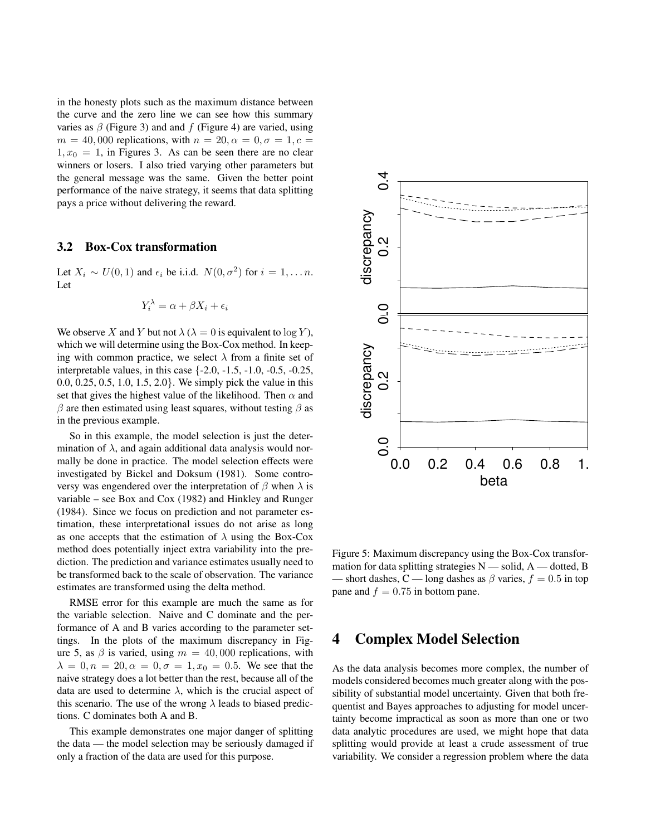in the honesty plots such as the maximum distance between the curve and the zero line we can see how this summary varies as  $\beta$  (Figure 3) and and f (Figure 4) are varied, using  $m = 40,000$  replications, with  $n = 20, \alpha = 0, \sigma = 1, c =$  $1, x_0 = 1$ , in Figures 3. As can be seen there are no clear winners or losers. I also tried varying other parameters but the general message was the same. Given the better point performance of the naive strategy, it seems that data splitting pays a price without delivering the reward.

#### 3.2 Box-Cox transformation

Let  $X_i \sim U(0, 1)$  and  $\epsilon_i$  be i.i.d.  $N(0, \sigma^2)$  for  $i = 1, \dots n$ . Let

$$
Y_i^{\lambda} = \alpha + \beta X_i + \epsilon_i
$$

We observe X and Y but not  $\lambda$  ( $\lambda = 0$  is equivalent to log Y), which we will determine using the Box-Cox method. In keeping with common practice, we select  $\lambda$  from a finite set of interpretable values, in this case {-2.0, -1.5, -1.0, -0.5, -0.25, 0.0, 0.25, 0.5, 1.0, 1.5, 2.0}. We simply pick the value in this set that gives the highest value of the likelihood. Then  $\alpha$  and  $β$  are then estimated using least squares, without testing  $β$  as in the previous example.

So in this example, the model selection is just the determination of  $\lambda$ , and again additional data analysis would normally be done in practice. The model selection effects were investigated by Bickel and Doksum (1981). Some controversy was engendered over the interpretation of  $\beta$  when  $\lambda$  is variable – see Box and Cox (1982) and Hinkley and Runger (1984). Since we focus on prediction and not parameter estimation, these interpretational issues do not arise as long as one accepts that the estimation of  $\lambda$  using the Box-Cox method does potentially inject extra variability into the prediction. The prediction and variance estimates usually need to be transformed back to the scale of observation. The variance estimates are transformed using the delta method.

RMSE error for this example are much the same as for the variable selection. Naive and C dominate and the performance of A and B varies according to the parameter settings. In the plots of the maximum discrepancy in Figure 5, as  $\beta$  is varied, using  $m = 40,000$  replications, with  $\lambda = 0, n = 20, \alpha = 0, \sigma = 1, x_0 = 0.5$ . We see that the naive strategy does a lot better than the rest, because all of the data are used to determine  $\lambda$ , which is the crucial aspect of this scenario. The use of the wrong  $\lambda$  leads to biased predictions. C dominates both A and B.

This example demonstrates one major danger of splitting the data — the model selection may be seriously damaged if only a fraction of the data are used for this purpose.



Figure 5: Maximum discrepancy using the Box-Cox transformation for data splitting strategies  $N$  — solid,  $A$  — dotted, B – short dashes, C — long dashes as  $\beta$  varies,  $f = 0.5$  in top pane and  $f = 0.75$  in bottom pane.

### 4 Complex Model Selection

As the data analysis becomes more complex, the number of models considered becomes much greater along with the possibility of substantial model uncertainty. Given that both frequentist and Bayes approaches to adjusting for model uncertainty become impractical as soon as more than one or two data analytic procedures are used, we might hope that data splitting would provide at least a crude assessment of true variability. We consider a regression problem where the data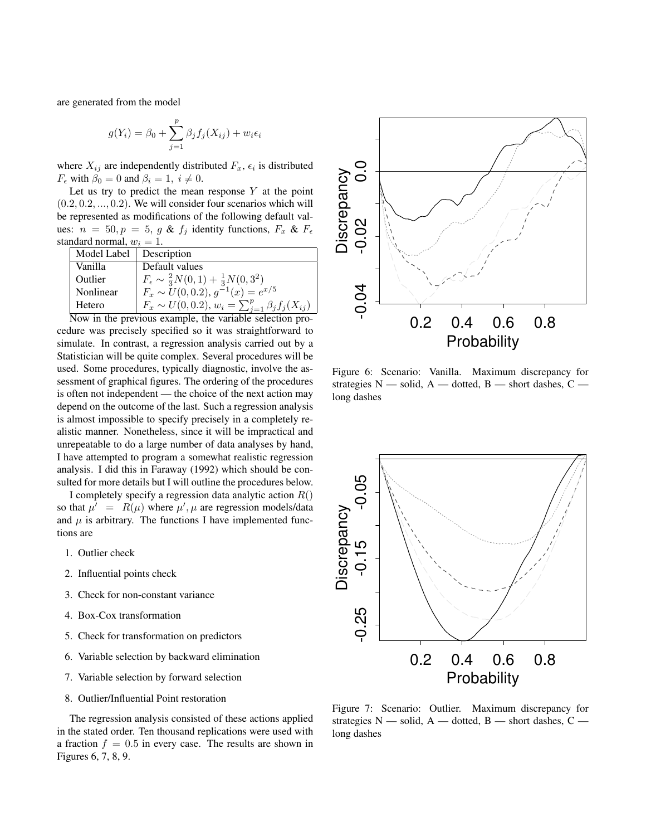are generated from the model

$$
g(Y_i) = \beta_0 + \sum_{j=1}^p \beta_j f_j(X_{ij}) + w_i \epsilon_i
$$

where  $X_{ij}$  are independently distributed  $F_x$ ,  $\epsilon_i$  is distributed  $F_{\epsilon}$  with  $\beta_0 = 0$  and  $\beta_i = 1, i \neq 0$ .

Let us try to predict the mean response  $Y$  at the point  $(0.2, 0.2, \ldots, 0.2)$ . We will consider four scenarios which will be represented as modifications of the following default values:  $n = 50, p = 5, g \& f_j$  identity functions,  $F_x \& F_{\epsilon}$ standard normal,  $w_i = 1$ .

| Model Label   Description |                                                              |
|---------------------------|--------------------------------------------------------------|
| Vanilla                   | Default values                                               |
| Outlier                   | $F_{\epsilon} \sim \frac{2}{3}N(0,1) + \frac{1}{3}N(0,3^2)$  |
| Nonlinear                 | $F_x \sim U(0, 0.2), g^{-1}(x) = e^{x/5}$                    |
| Hetero                    | $F_x \sim U(0, 0.2), w_i = \sum_{j=1}^p \beta_j f_j(X_{ij})$ |

Now in the previous example, the variable selection procedure was precisely specified so it was straightforward to simulate. In contrast, a regression analysis carried out by a Statistician will be quite complex. Several procedures will be used. Some procedures, typically diagnostic, involve the assessment of graphical figures. The ordering of the procedures is often not independent — the choice of the next action may depend on the outcome of the last. Such a regression analysis is almost impossible to specify precisely in a completely realistic manner. Nonetheless, since it will be impractical and unrepeatable to do a large number of data analyses by hand, I have attempted to program a somewhat realistic regression analysis. I did this in Faraway (1992) which should be consulted for more details but I will outline the procedures below.

I completely specify a regression data analytic action  $R()$ so that  $\mu' = R(\mu)$  where  $\mu', \mu$  are regression models/data and  $\mu$  is arbitrary. The functions I have implemented functions are

- 1. Outlier check
- 2. Influential points check
- 3. Check for non-constant variance
- 4. Box-Cox transformation
- 5. Check for transformation on predictors
- 6. Variable selection by backward elimination
- 7. Variable selection by forward selection
- 8. Outlier/Influential Point restoration

The regression analysis consisted of these actions applied in the stated order. Ten thousand replications were used with a fraction  $f = 0.5$  in every case. The results are shown in Figures 6, 7, 8, 9.



Figure 6: Scenario: Vanilla. Maximum discrepancy for strategies  $N$  — solid,  $A$  — dotted,  $B$  — short dashes,  $C$  long dashes



Figure 7: Scenario: Outlier. Maximum discrepancy for strategies  $N$  — solid,  $A$  — dotted,  $B$  — short dashes,  $C$  long dashes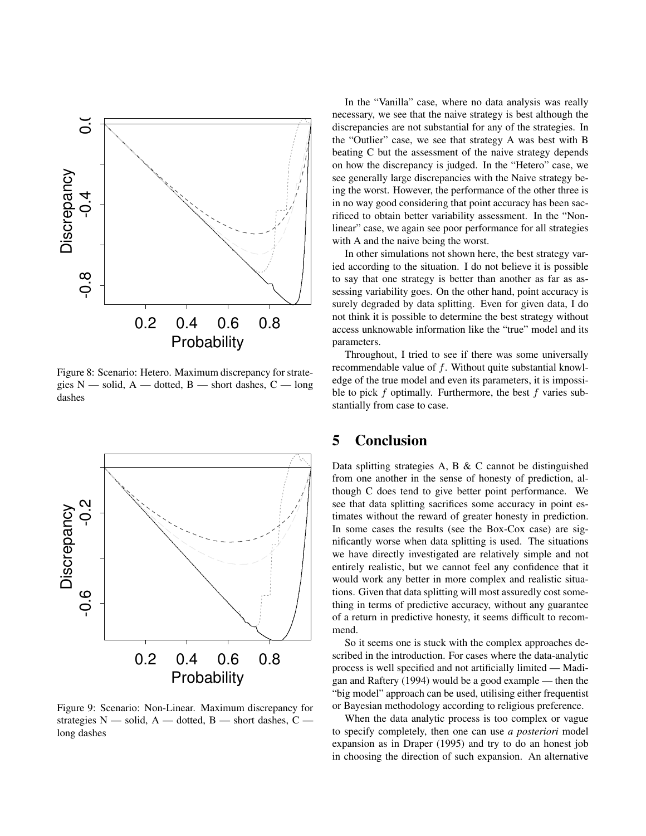

Figure 8: Scenario: Hetero. Maximum discrepancy for strategies  $N$  — solid,  $A$  — dotted,  $B$  — short dashes,  $C$  — long dashes



Figure 9: Scenario: Non-Linear. Maximum discrepancy for strategies  $N$  — solid,  $A$  — dotted,  $B$  — short dashes,  $C$  long dashes

In the "Vanilla" case, where no data analysis was really necessary, we see that the naive strategy is best although the discrepancies are not substantial for any of the strategies. In the "Outlier" case, we see that strategy A was best with B beating C but the assessment of the naive strategy depends on how the discrepancy is judged. In the "Hetero" case, we see generally large discrepancies with the Naive strategy being the worst. However, the performance of the other three is in no way good considering that point accuracy has been sacrificed to obtain better variability assessment. In the "Nonlinear" case, we again see poor performance for all strategies with A and the naive being the worst.

In other simulations not shown here, the best strategy varied according to the situation. I do not believe it is possible to say that one strategy is better than another as far as assessing variability goes. On the other hand, point accuracy is surely degraded by data splitting. Even for given data, I do not think it is possible to determine the best strategy without access unknowable information like the "true" model and its parameters.

Throughout, I tried to see if there was some universally recommendable value of f. Without quite substantial knowledge of the true model and even its parameters, it is impossible to pick  $f$  optimally. Furthermore, the best  $f$  varies substantially from case to case.

### 5 Conclusion

Data splitting strategies A, B & C cannot be distinguished from one another in the sense of honesty of prediction, although C does tend to give better point performance. We see that data splitting sacrifices some accuracy in point estimates without the reward of greater honesty in prediction. In some cases the results (see the Box-Cox case) are significantly worse when data splitting is used. The situations we have directly investigated are relatively simple and not entirely realistic, but we cannot feel any confidence that it would work any better in more complex and realistic situations. Given that data splitting will most assuredly cost something in terms of predictive accuracy, without any guarantee of a return in predictive honesty, it seems difficult to recommend.

So it seems one is stuck with the complex approaches described in the introduction. For cases where the data-analytic process is well specified and not artificially limited — Madigan and Raftery (1994) would be a good example — then the "big model" approach can be used, utilising either frequentist or Bayesian methodology according to religious preference.

When the data analytic process is too complex or vague to specify completely, then one can use *a posteriori* model expansion as in Draper (1995) and try to do an honest job in choosing the direction of such expansion. An alternative